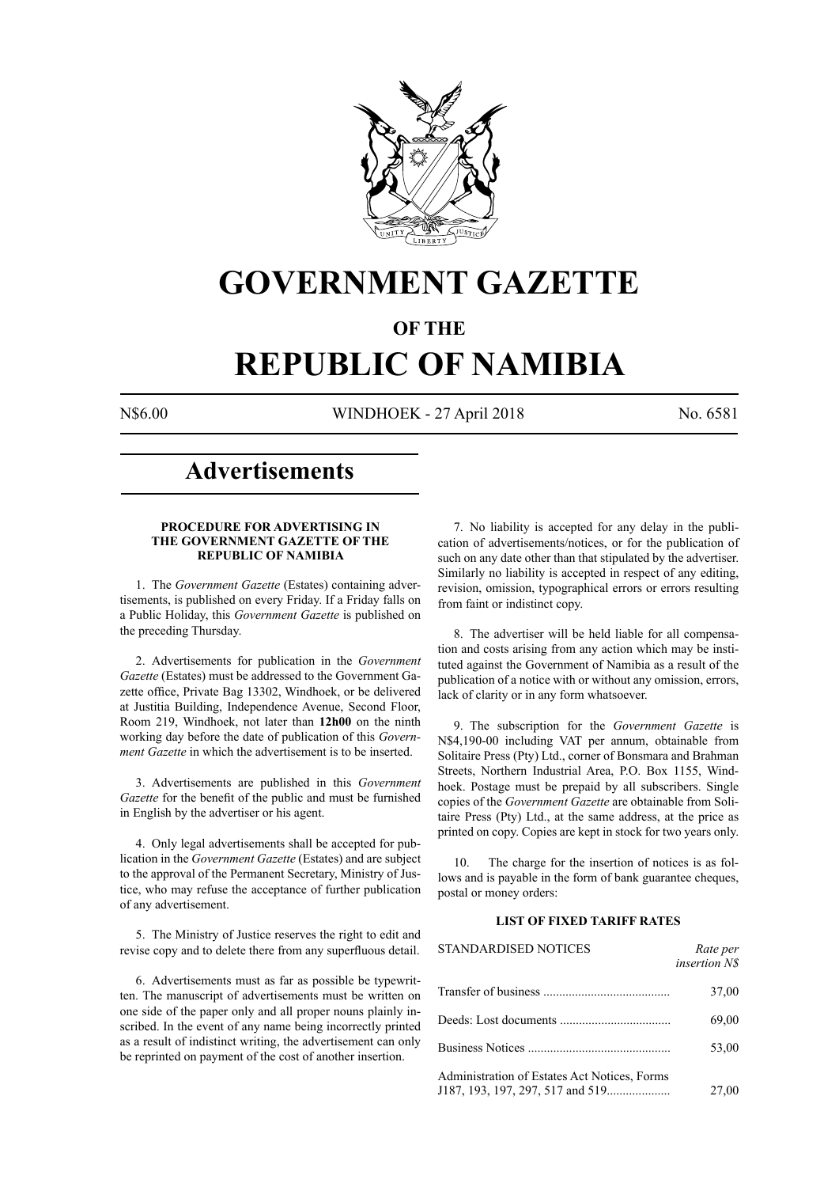

# **GOVERNMENT GAZETTE**

# **OF THE**

# **REPUBLIC OF NAMIBIA**

N\$6.00 WINDHOEK - 27 April 2018 No. 6581

# **Advertisements**

# **PROCEDURE FOR ADVERTISING IN THE GOVERNMENT GAZETTE OF THE REPUBLIC OF NAMIBIA**

1. The *Government Gazette* (Estates) containing advertisements, is published on every Friday. If a Friday falls on a Public Holiday, this *Government Gazette* is published on the preceding Thursday.

2. Advertisements for publication in the *Government Gazette* (Estates) must be addressed to the Government Gazette office, Private Bag 13302, Windhoek, or be delivered at Justitia Building, Independence Avenue, Second Floor, Room 219, Windhoek, not later than **12h00** on the ninth working day before the date of publication of this *Government Gazette* in which the advertisement is to be inserted.

3. Advertisements are published in this *Government Gazette* for the benefit of the public and must be furnished in English by the advertiser or his agent.

4. Only legal advertisements shall be accepted for publication in the *Government Gazette* (Estates) and are subject to the approval of the Permanent Secretary, Ministry of Justice, who may refuse the acceptance of further publication of any advertisement.

5. The Ministry of Justice reserves the right to edit and revise copy and to delete there from any superfluous detail.

6. Advertisements must as far as possible be typewritten. The manuscript of advertisements must be written on one side of the paper only and all proper nouns plainly inscribed. In the event of any name being incorrectly printed as a result of indistinct writing, the advertisement can only be reprinted on payment of the cost of another insertion.

7. No liability is accepted for any delay in the publication of advertisements/notices, or for the publication of such on any date other than that stipulated by the advertiser. Similarly no liability is accepted in respect of any editing, revision, omission, typographical errors or errors resulting from faint or indistinct copy.

8. The advertiser will be held liable for all compensation and costs arising from any action which may be instituted against the Government of Namibia as a result of the publication of a notice with or without any omission, errors, lack of clarity or in any form whatsoever.

9. The subscription for the *Government Gazette* is N\$4,190-00 including VAT per annum, obtainable from Solitaire Press (Pty) Ltd., corner of Bonsmara and Brahman Streets, Northern Industrial Area, P.O. Box 1155, Windhoek. Postage must be prepaid by all subscribers. Single copies of the *Government Gazette* are obtainable from Solitaire Press (Pty) Ltd., at the same address, at the price as printed on copy. Copies are kept in stock for two years only.

10. The charge for the insertion of notices is as follows and is payable in the form of bank guarantee cheques, postal or money orders:

# **LIST OF FIXED TARIFF RATES**

| <b>STANDARDISED NOTICES</b>                  | Rate per<br><i>insertion NS</i> |
|----------------------------------------------|---------------------------------|
|                                              | 37,00                           |
|                                              | 69,00                           |
|                                              | 53,00                           |
| Administration of Estates Act Notices, Forms | 27,00                           |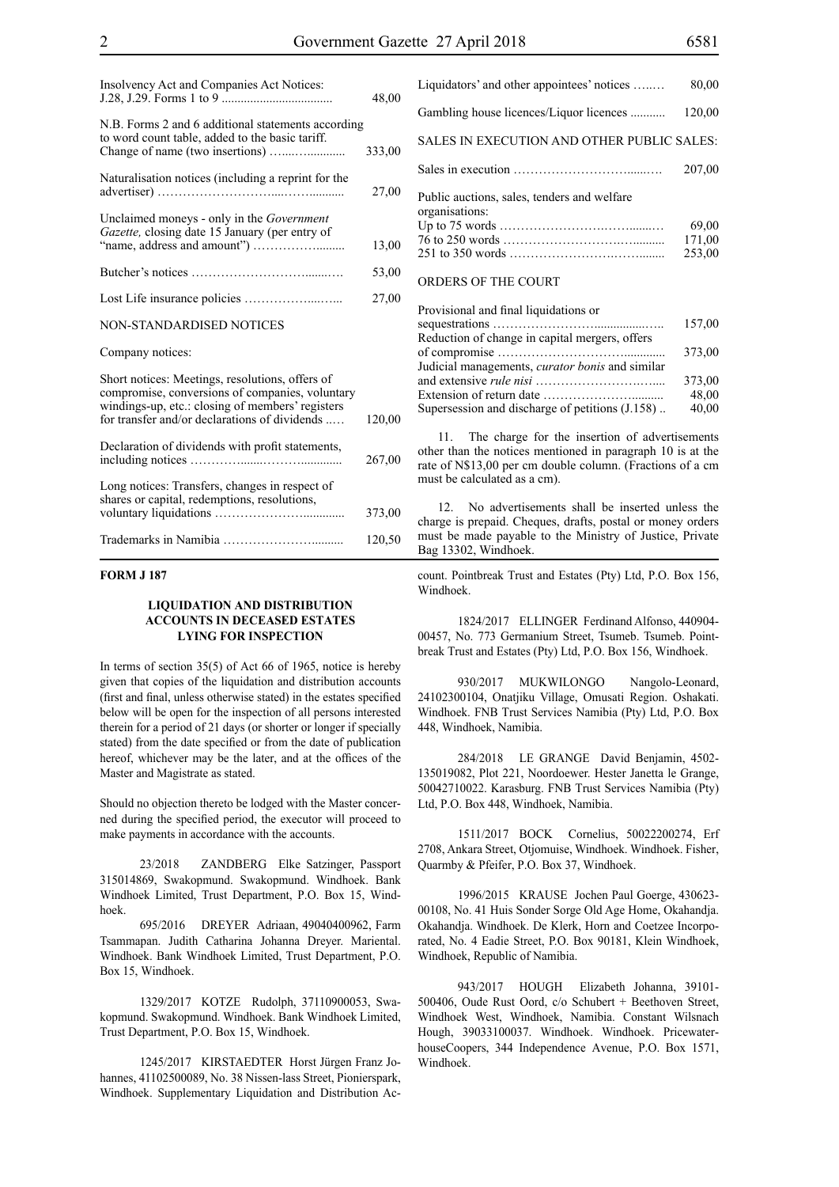| Insolvency Act and Companies Act Notices:                                                                                                                                                               | 48,00  |
|---------------------------------------------------------------------------------------------------------------------------------------------------------------------------------------------------------|--------|
| N.B. Forms 2 and 6 additional statements according<br>to word count table, added to the basic tariff.                                                                                                   | 333,00 |
| Naturalisation notices (including a reprint for the                                                                                                                                                     | 27,00  |
| Unclaimed moneys - only in the <i>Government</i><br>Gazette, closing date 15 January (per entry of                                                                                                      | 13,00  |
|                                                                                                                                                                                                         | 53,00  |
|                                                                                                                                                                                                         | 27,00  |
| NON-STANDARDISED NOTICES                                                                                                                                                                                |        |
| Company notices:                                                                                                                                                                                        |        |
| Short notices: Meetings, resolutions, offers of<br>compromise, conversions of companies, voluntary<br>windings-up, etc.: closing of members' registers<br>for transfer and/or declarations of dividends | 120,00 |
| Declaration of dividends with profit statements,                                                                                                                                                        | 267,00 |
| Long notices: Transfers, changes in respect of<br>shares or capital, redemptions, resolutions,                                                                                                          | 373,00 |
|                                                                                                                                                                                                         | 120,50 |

# **FORM J 187**

# **LIQUIDATION AND DISTRIBUTION ACCOUNTS IN DECEASED ESTATES LYING FOR INSPECTION**

In terms of section 35(5) of Act 66 of 1965, notice is hereby given that copies of the liquidation and distribution accounts (first and final, unless otherwise stated) in the estates specified below will be open for the inspection of all persons interested therein for a period of 21 days (or shorter or longer if specially stated) from the date specified or from the date of publication hereof, whichever may be the later, and at the offices of the Master and Magistrate as stated.

Should no objection thereto be lodged with the Master concerned during the specified period, the executor will proceed to make payments in accordance with the accounts.

23/2018 ZANDBERG Elke Satzinger, Passport 315014869, Swakopmund. Swakopmund. Windhoek. Bank Windhoek Limited, Trust Department, P.O. Box 15, Windhoek.

695/2016 DREYER Adriaan, 49040400962, Farm Tsammapan. Judith Catharina Johanna Dreyer. Mariental. Windhoek. Bank Windhoek Limited, Trust Department, P.O. Box 15, Windhoek.

1329/2017 KOTZE Rudolph, 37110900053, Swakopmund. Swakopmund. Windhoek. Bank Windhoek Limited, Trust Department, P.O. Box 15, Windhoek.

1245/2017 KIRSTAEDTER Horst Jürgen Franz Johannes, 41102500089, No. 38 Nissen-lass Street, Pionierspark, Windhoek. Supplementary Liquidation and Distribution Ac-

| Liquidators' and other appointees' notices                    | 80,00  |
|---------------------------------------------------------------|--------|
| Gambling house licences/Liquor licences                       | 120,00 |
| SALES IN EXECUTION AND OTHER PUBLIC SALES:                    |        |
|                                                               | 207,00 |
| Public auctions, sales, tenders and welfare<br>organisations: |        |
|                                                               | 69,00  |
|                                                               | 171,00 |
|                                                               | 253,00 |
| ORDERS OF THE COURT                                           |        |

| Provisional and final liquidations or                  |        |
|--------------------------------------------------------|--------|
|                                                        | 157,00 |
| Reduction of change in capital mergers, offers         |        |
|                                                        | 373,00 |
| Judicial managements, <i>curator bonis</i> and similar |        |
|                                                        | 373,00 |
|                                                        | 48,00  |
| Supersession and discharge of petitions (J.158)        | 40,00  |
|                                                        |        |

11. The charge for the insertion of advertisements other than the notices mentioned in paragraph 10 is at the rate of N\$13,00 per cm double column. (Fractions of a cm must be calculated as a cm).

12. No advertisements shall be inserted unless the charge is prepaid. Cheques, drafts, postal or money orders must be made payable to the Ministry of Justice, Private Bag 13302, Windhoek.

count. Pointbreak Trust and Estates (Pty) Ltd, P.O. Box 156, Windhoek.

1824/2017 ELLINGER Ferdinand Alfonso, 440904- 00457, No. 773 Germanium Street, Tsumeb. Tsumeb. Pointbreak Trust and Estates (Pty) Ltd, P.O. Box 156, Windhoek.

930/2017 MUKWILONGO Nangolo-Leonard, 24102300104, Onatjiku Village, Omusati Region. Oshakati. Windhoek. FNB Trust Services Namibia (Pty) Ltd, P.O. Box 448, Windhoek, Namibia.

284/2018 LE GRANGE David Benjamin, 4502- 135019082, Plot 221, Noordoewer. Hester Janetta le Grange, 50042710022. Karasburg. FNB Trust Services Namibia (Pty) Ltd, P.O. Box 448, Windhoek, Namibia.

1511/2017 BOCK Cornelius, 50022200274, Erf 2708, Ankara Street, Otjomuise, Windhoek. Windhoek. Fisher, Quarmby & Pfeifer, P.O. Box 37, Windhoek.

1996/2015 KRAUSE Jochen Paul Goerge, 430623- 00108, No. 41 Huis Sonder Sorge Old Age Home, Okahandja. Okahandja. Windhoek. De Klerk, Horn and Coetzee Incorporated, No. 4 Eadie Street, P.O. Box 90181, Klein Windhoek, Windhoek, Republic of Namibia.

943/2017 HOUGH Elizabeth Johanna, 39101- 500406, Oude Rust Oord, c/o Schubert + Beethoven Street, Windhoek West, Windhoek, Namibia. Constant Wilsnach Hough, 39033100037. Windhoek. Windhoek. PricewaterhouseCoopers, 344 Independence Avenue, P.O. Box 1571, Windhoek.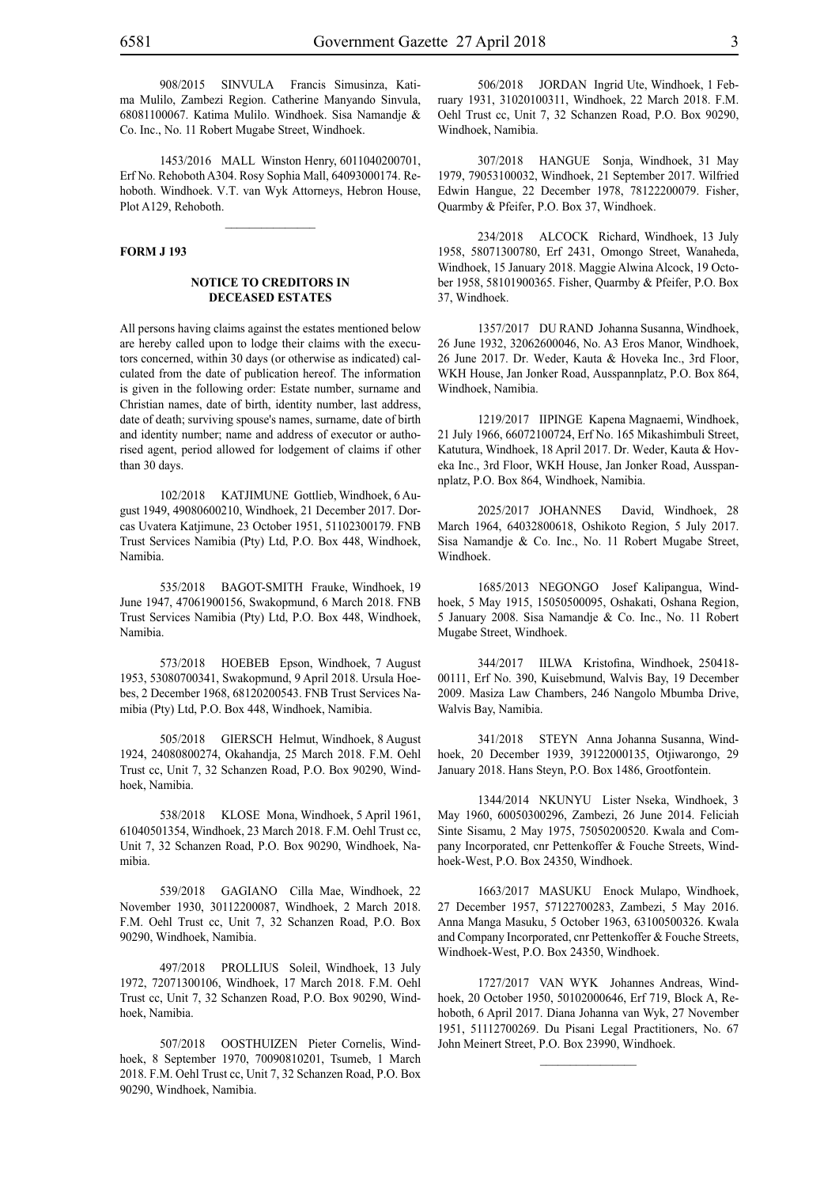908/2015 SINVULA Francis Simusinza, Katima Mulilo, Zambezi Region. Catherine Manyando Sinvula, 68081100067. Katima Mulilo. Windhoek. Sisa Namandje & Co. Inc., No. 11 Robert Mugabe Street, Windhoek.

1453/2016 MALL Winston Henry, 6011040200701, Erf No. Rehoboth A304. Rosy Sophia Mall, 64093000174. Rehoboth. Windhoek. V.T. van Wyk Attorneys, Hebron House, Plot A129, Rehoboth.

#### **FORM J 193**

# **NOTICE TO CREDITORS IN DECEASED ESTATES**

All persons having claims against the estates mentioned below are hereby called upon to lodge their claims with the executors concerned, within 30 days (or otherwise as indicated) calculated from the date of publication hereof. The information is given in the following order: Estate number, surname and Christian names, date of birth, identity number, last address, date of death; surviving spouse's names, surname, date of birth and identity number; name and address of executor or authorised agent, period allowed for lodgement of claims if other than 30 days.

102/2018 KATJIMUNE Gottlieb, Windhoek, 6 August 1949, 49080600210, Windhoek, 21 December 2017. Dorcas Uvatera Katjimune, 23 October 1951, 51102300179. FNB Trust Services Namibia (Pty) Ltd, P.O. Box 448, Windhoek, Namibia.

535/2018 BAGOT-SMITH Frauke, Windhoek, 19 June 1947, 47061900156, Swakopmund, 6 March 2018. FNB Trust Services Namibia (Pty) Ltd, P.O. Box 448, Windhoek, Namibia.

573/2018 HOEBEB Epson, Windhoek, 7 August 1953, 53080700341, Swakopmund, 9 April 2018. Ursula Hoebes, 2 December 1968, 68120200543. FNB Trust Services Namibia (Pty) Ltd, P.O. Box 448, Windhoek, Namibia.

505/2018 GIERSCH Helmut, Windhoek, 8 August 1924, 24080800274, Okahandja, 25 March 2018. F.M. Oehl Trust cc, Unit 7, 32 Schanzen Road, P.O. Box 90290, Windhoek, Namibia.

538/2018 KLOSE Mona, Windhoek, 5 April 1961, 61040501354, Windhoek, 23 March 2018. F.M. Oehl Trust cc, Unit 7, 32 Schanzen Road, P.O. Box 90290, Windhoek, Namibia.

539/2018 GAGIANO Cilla Mae, Windhoek, 22 November 1930, 30112200087, Windhoek, 2 March 2018. F.M. Oehl Trust cc, Unit 7, 32 Schanzen Road, P.O. Box 90290, Windhoek, Namibia.

497/2018 PROLLIUS Soleil, Windhoek, 13 July 1972, 72071300106, Windhoek, 17 March 2018. F.M. Oehl Trust cc, Unit 7, 32 Schanzen Road, P.O. Box 90290, Windhoek, Namibia.

507/2018 oosthuizen Pieter Cornelis, Windhoek, 8 September 1970, 70090810201, Tsumeb, 1 March 2018. F.M. Oehl Trust cc, Unit 7, 32 Schanzen Road, P.O. Box 90290, Windhoek, Namibia.

506/2018 JORDAN Ingrid Ute, Windhoek, 1 February 1931, 31020100311, Windhoek, 22 March 2018. F.M. Oehl Trust cc, Unit 7, 32 Schanzen Road, P.O. Box 90290, Windhoek, Namibia.

307/2018 HANGUE Sonja, Windhoek, 31 May 1979, 79053100032, Windhoek, 21 September 2017. Wilfried Edwin Hangue, 22 December 1978, 78122200079. Fisher, Quarmby & Pfeifer, P.O. Box 37, Windhoek.

234/2018 ALCOCK Richard, Windhoek, 13 July 1958, 58071300780, Erf 2431, Omongo Street, Wanaheda, Windhoek, 15 January 2018. Maggie Alwina Alcock, 19 October 1958, 58101900365. Fisher, Quarmby & Pfeifer, P.O. Box 37, Windhoek.

1357/2017 DU RAND Johanna Susanna, Windhoek, 26 June 1932, 32062600046, No. A3 Eros Manor, Windhoek, 26 June 2017. Dr. Weder, Kauta & Hoveka Inc., 3rd Floor, WKH House, Jan Jonker Road, Ausspannplatz, P.O. Box 864, Windhoek, Namibia.

1219/2017 IIPINGE Kapena Magnaemi, Windhoek, 21 July 1966, 66072100724, Erf No. 165 Mikashimbuli Street, Katutura, Windhoek, 18 April 2017. Dr. Weder, Kauta & Hoveka Inc., 3rd Floor, WKH House, Jan Jonker Road, Ausspannplatz, P.O. Box 864, Windhoek, Namibia.

2025/2017 JOHANNES David, Windhoek, 28 March 1964, 64032800618, Oshikoto Region, 5 July 2017. Sisa Namandje & Co. Inc., No. 11 Robert Mugabe Street, Windhoek.

1685/2013 NEGONGO Josef Kalipangua, Windhoek, 5 May 1915, 15050500095, Oshakati, Oshana Region, 5 January 2008. Sisa Namandje & Co. Inc., No. 11 Robert Mugabe Street, Windhoek.

344/2017 IILWA Kristofina, Windhoek, 250418- 00111, Erf No. 390, Kuisebmund, Walvis Bay, 19 December 2009. Masiza Law Chambers, 246 Nangolo Mbumba Drive, Walvis Bay, Namibia.

341/2018 STEYN Anna Johanna Susanna, Windhoek, 20 December 1939, 39122000135, Otjiwarongo, 29 January 2018. Hans Steyn, P.O. Box 1486, Grootfontein.

1344/2014 NKUNYU Lister Nseka, Windhoek, 3 May 1960, 60050300296, Zambezi, 26 June 2014. Feliciah Sinte Sisamu, 2 May 1975, 75050200520. Kwala and Company Incorporated, cnr Pettenkoffer & Fouche Streets, Windhoek-West, P.O. Box 24350, Windhoek.

1663/2017 MASUKU Enock Mulapo, Windhoek, 27 December 1957, 57122700283, Zambezi, 5 May 2016. Anna Manga Masuku, 5 October 1963, 63100500326. Kwala and Company Incorporated, cnr Pettenkoffer & Fouche Streets, Windhoek-West, P.O. Box 24350, Windhoek.

1727/2017 VAN WYK Johannes Andreas, Windhoek, 20 October 1950, 50102000646, Erf 719, Block A, Rehoboth, 6 April 2017. Diana Johanna van Wyk, 27 November 1951, 51112700269. Du Pisani Legal Practitioners, No. 67 John Meinert Street, P.O. Box 23990, Windhoek.

 $\frac{1}{2}$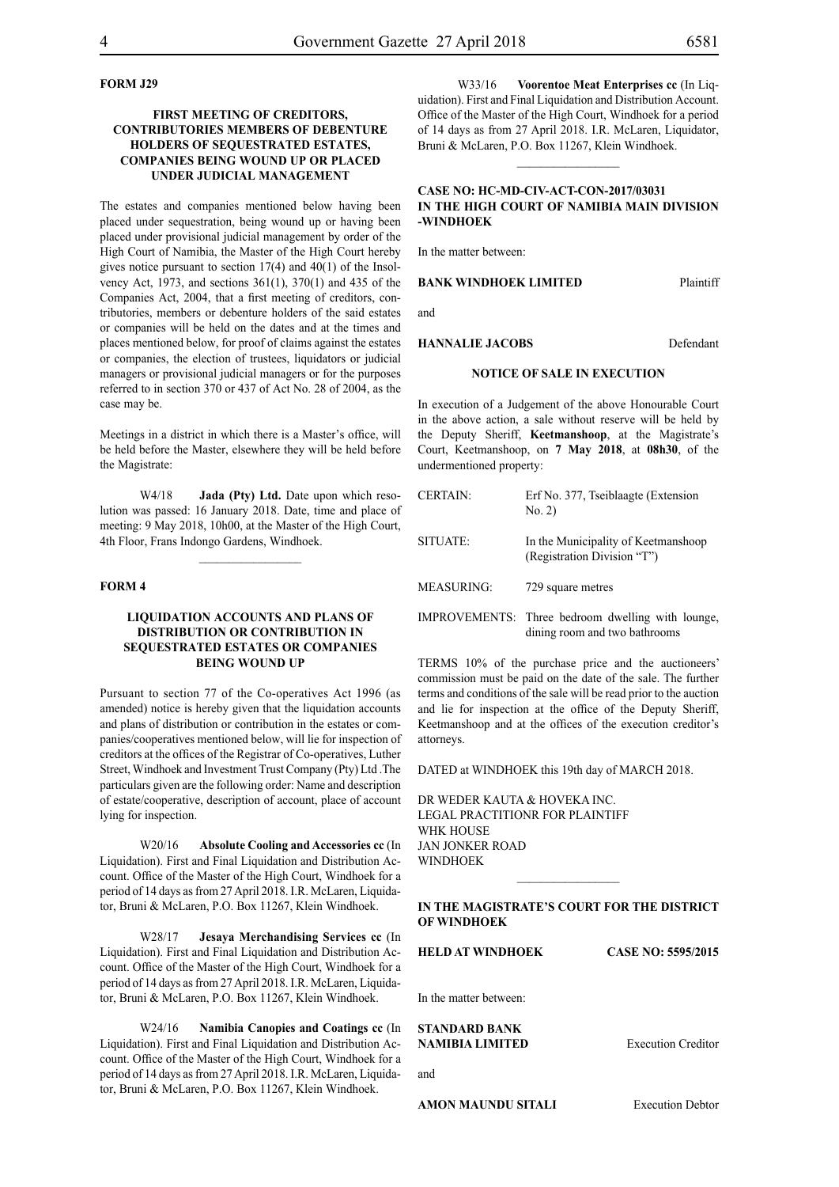# **FORM J29**

# **FIRST MEETING OF CREDITORS, CONTRIBUTORIES MEMBERS OF DEBENTURE HOLDERS OF SEQUESTRATED ESTATES, COMPANIES BEING WOUND UP OR PLACED UNDER JUDICIAL MANAGEMENT**

The estates and companies mentioned below having been placed under sequestration, being wound up or having been placed under provisional judicial management by order of the High Court of Namibia, the Master of the High Court hereby gives notice pursuant to section 17(4) and 40(1) of the Insolvency Act, 1973, and sections 361(1), 370(1) and 435 of the Companies Act, 2004, that a first meeting of creditors, contributories, members or debenture holders of the said estates or companies will be held on the dates and at the times and places mentioned below, for proof of claims against the estates or companies, the election of trustees, liquidators or judicial managers or provisional judicial managers or for the purposes referred to in section 370 or 437 of Act No. 28 of 2004, as the case may be.

Meetings in a district in which there is a Master's office, will be held before the Master, elsewhere they will be held before the Magistrate:

W4/18 **Jada (Pty) Ltd.** Date upon which resolution was passed: 16 January 2018. Date, time and place of meeting: 9 May 2018, 10h00, at the Master of the High Court, 4th Floor, Frans Indongo Gardens, Windhoek.

 $\frac{1}{2}$ 

# **FORM 4**

# **LIQUIDATION ACCOUNTS AND PLANS OF DISTRIBUTION OR CONTRIBUTION IN SEQUESTRATED ESTATES OR COMPANIES BEING WOUND UP**

Pursuant to section 77 of the Co-operatives Act 1996 (as amended) notice is hereby given that the liquidation accounts and plans of distribution or contribution in the estates or companies/cooperatives mentioned below, will lie for inspection of creditors at the offices of the Registrar of Co-operatives, Luther Street, Windhoek and Investment Trust Company (Pty) Ltd .The particulars given are the following order: Name and description of estate/cooperative, description of account, place of account lying for inspection.

W20/16 **Absolute Cooling and Accessories cc** (In Liquidation). First and Final Liquidation and Distribution Account. Office of the Master of the High Court, Windhoek for a period of 14 days as from 27 April 2018. I.R. McLaren, Liquidator, Bruni & McLaren, P.O. Box 11267, Klein Windhoek.

W28/17 **Jesaya Merchandising Services cc** (In Liquidation). First and Final Liquidation and Distribution Account. Office of the Master of the High Court, Windhoek for a period of 14 days as from 27 April 2018. I.R. McLaren, Liquidator, Bruni & McLaren, P.O. Box 11267, Klein Windhoek.

W24/16 **Namibia Canopies and Coatings cc** (In Liquidation). First and Final Liquidation and Distribution Account. Office of the Master of the High Court, Windhoek for a period of 14 days as from 27 April 2018. I.R. McLaren, Liquidator, Bruni & McLaren, P.O. Box 11267, Klein Windhoek.

W33/16 **Voorentoe Meat Enterprises cc** (In Liquidation). First and Final Liquidation and Distribution Account. Office of the Master of the High Court, Windhoek for a period of 14 days as from 27 April 2018. I.R. McLaren, Liquidator, Bruni & McLaren, P.O. Box 11267, Klein Windhoek.

# **CASE NO: HC-MD-CIV-ACT-CON-2017/03031 IN THE HIGH COURT OF NAMIBIA MAIN DIVISION -WINDHOEK**

 $\frac{1}{2}$ 

In the matter between:

#### **BANK WINDHOEK LIMITED** Plaintiff

and

**HANNALIE JACOBS** Defendant

#### **NOTICE OF SALE IN EXECUTION**

In execution of a Judgement of the above Honourable Court in the above action, a sale without reserve will be held by the Deputy Sheriff, **Keetmanshoop**, at the Magistrate's Court, Keetmanshoop, on **7 May 2018**, at **08h30**, of the undermentioned property:

| <b>CERTAIN:</b>   | Erf No. 377, Tseiblaagte (Extension<br>No. 2)                                      |
|-------------------|------------------------------------------------------------------------------------|
| <b>SITUATE:</b>   | In the Municipality of Keetmanshoop<br>(Registration Division "T")                 |
| <b>MEASURING:</b> | 729 square metres                                                                  |
|                   | IMPROVEMENTS: Three bedroom dwelling with lounge,<br>dining room and two bathrooms |

TERMS 10% of the purchase price and the auctioneers' commission must be paid on the date of the sale. The further terms and conditions of the sale will be read prior to the auction and lie for inspection at the office of the Deputy Sheriff, Keetmanshoop and at the offices of the execution creditor's attorneys.

DATED at WINDHOEK this 19th day of MARCH 2018.

DR WEDER KAUTA & HOVEKA INC. Legal Practitionr for Plaintiff WHK HOUSE Jan Jonker Road WINDHOEK

# **IN THE MAGISTRATE'S COURT FOR THE DISTRICT OF WINDHOEK**

 $\frac{1}{2}$ 

**HELD AT WINDHOEK CASE NO: 5595/2015**

In the matter between:

**STANDARD BANK** 

and

**NAMIBIA LIMITED** Execution Creditor

**AMON MAUNDU SITALI** Execution Debtor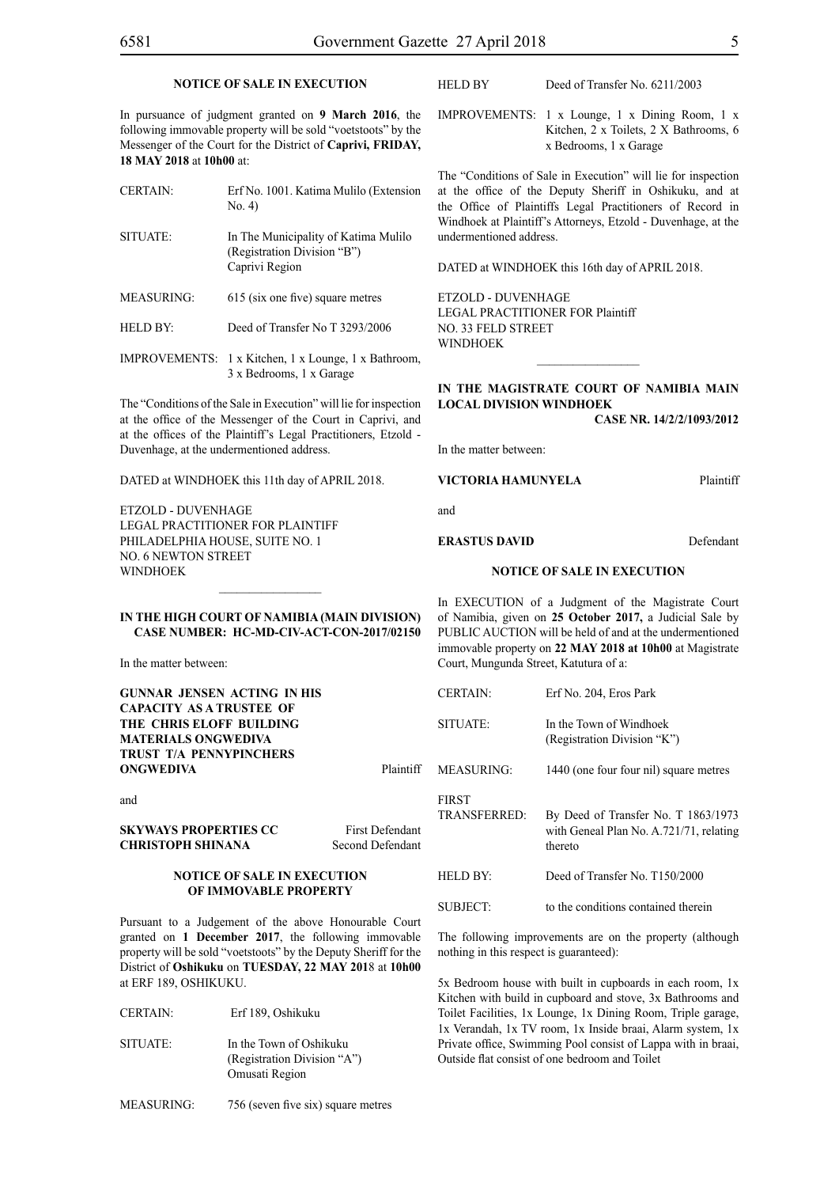# **NOTICE OF SALE IN EXECUTION**

In pursuance of judgment granted on **9 March 2016**, the following immovable property will be sold "voetstoots" by the Messenger of the Court for the District of **Caprivi, FRIDAY, 18 MAY 2018** at **10h00** at:

CERTAIN: Erf No. 1001. Katima Mulilo (Extension

- SITUATE: In The Municipality of Katima Mulilo (Registration Division "B") Caprivi Region
- MEASURING: 615 (six one five) square metres

No. 4)

- HELD BY: Deed of Transfer No T 3293/2006
- IMPROVEMENTS: 1 x Kitchen, 1 x Lounge, 1 x Bathroom, 3 x Bedrooms, 1 x Garage

The "Conditions of the Sale in Execution" will lie for inspection at the office of the Messenger of the Court in Caprivi, and at the offices of the Plaintiff's Legal Practitioners, Etzold - Duvenhage, at the undermentioned address.

DATED at WINDHOEK this 11th day of APRIL 2018.

ETZOLD - DUVENHAGE LEGAL PRACTITIONER FOR Plaintiff PHILADELPHIA HOUSE, SUITE NO. 1 NO. 6 NEWTON STREET **WINDHOFK** 

#### HELD BY Deed of Transfer No. 6211/2003

IMPROVEMENTS: 1 x Lounge, 1 x Dining Room, 1 x Kitchen, 2 x Toilets, 2 X Bathrooms, 6 x Bedrooms, 1 x Garage

The "Conditions of Sale in Execution" will lie for inspection at the office of the Deputy Sheriff in Oshikuku, and at the Office of Plaintiffs Legal Practitioners of Record in Windhoek at Plaintiff's Attorneys, Etzold - Duvenhage, at the undermentioned address.

DATED at WINDHOEK this 16th day of APRIL 2018.

ETZOLD - DUVENHAGE LEGAL PRACTITIONER FOR Plaintiff NO. 33 FELD STREET WINDHOEK

# **IN THE MAGISTRATE COURT OF NAMIBIA MAIN LOCAL DIVISION WINDHOEK**

 $\frac{1}{2}$ 

**Case Nr. 14/2/2/1093/2012**

In the matter between:

# **VICTORIA HAMUNYELA** Plaintiff

and

**ERASTUS DAVID** Defendant

# **NOTICE OF SALE IN EXECUTION**

In EXECUTION of a Judgment of the Magistrate Court of Namibia, given on **25 October 2017,** a Judicial Sale by PUBLIC AUCTION will be held of and at the undermentioned immovable property on **22 MAY 2018 at 10h00** at Magistrate Court, Mungunda Street, Katutura of a:

| <b>CERTAIN</b>                           | Erf No. 204, Eros Park                                                                    |
|------------------------------------------|-------------------------------------------------------------------------------------------|
| SITUATE:                                 | In the Town of Windhoek<br>(Registration Division "K")                                    |
| MEASURING:                               | 1440 (one four four nil) square metres                                                    |
| <b>FIRST</b><br>TRANSFERRED <sup>.</sup> | By Deed of Transfer No. T 1863/1973<br>with Geneal Plan No. A.721/71, relating<br>thereto |
| HELD BY <sup>.</sup>                     | Deed of Transfer No. T150/2000                                                            |
| SUBJECT:                                 | to the conditions contained therein                                                       |

The following improvements are on the property (although nothing in this respect is guaranteed):

5x Bedroom house with built in cupboards in each room, 1x Kitchen with build in cupboard and stove, 3x Bathrooms and Toilet Facilities, 1x Lounge, 1x Dining Room, Triple garage, 1x Verandah, 1x TV room, 1x Inside braai, Alarm system, 1x Private office, Swimming Pool consist of Lappa with in braai, Outside flat consist of one bedroom and Toilet

**IN THE HIGH COURT OF NAMIBIA (Main Division) Case Number: HC-MD-CIV-ACT-CON-2017/02150**

 $\frac{1}{2}$ 

In the matter between:

**GUNNAR JENSEN ACTING IN HIS CAPACITY AS A TRUSTEE OF THE CHRIS ELOFF BUILDING MATERIALS ONGWEDIVA TRUST T/A PENNYPINCHERS ONGWEDIVA** Plaintiff

and

**SKYWAYS PROPERTIES CC** First Defendant **CHRISTOPH SHINANA** Second Defendant

**NOTICE OF SALE IN EXECUTION** 

**OF IMMOVABLE PROPERTY**

Pursuant to a Judgement of the above Honourable Court granted on **1 December 2017**, the following immovable property will be sold "voetstoots" by the Deputy Sheriff for the District of **Oshikuku** on **TUESDAY, 22 MAY 201**8 at **10h00**  at ERF 189, OSHIKUKU.

- CERTAIN: Erf 189, Oshikuku
- SITUATE: In the Town of Oshikuku (Registration Division "A") Omusati Region
- MEASURING: 756 (seven five six) square metres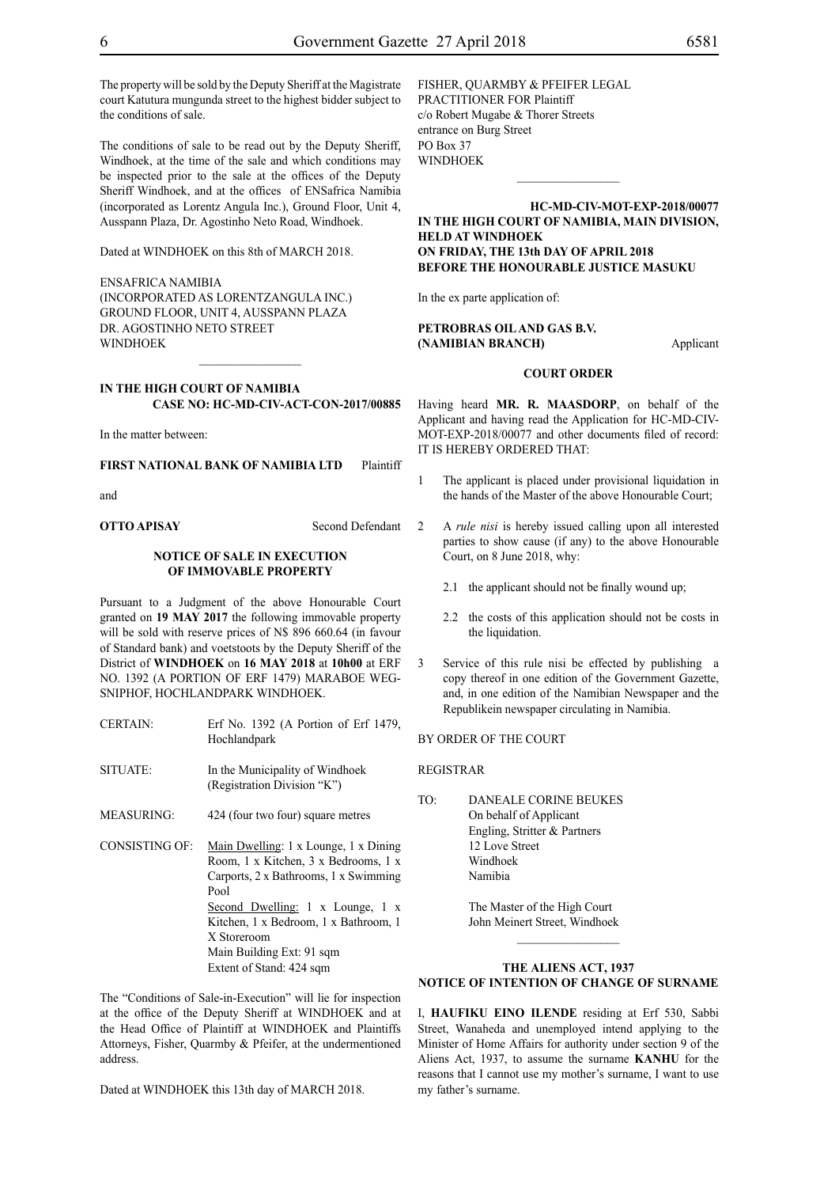The property will be sold by the Deputy Sheriff at the Magistrate court Katutura mungunda street to the highest bidder subject to the conditions of sale.

The conditions of sale to be read out by the Deputy Sheriff, Windhoek, at the time of the sale and which conditions may be inspected prior to the sale at the offices of the Deputy Sheriff Windhoek, and at the offices of ENSafrica Namibia (incorporated as Lorentz Angula Inc.), Ground Floor, Unit 4, Ausspann Plaza, Dr. Agostinho Neto Road, Windhoek.

Dated at WINDHOEK on this 8th of MARCH 2018.

ENSafrica Namibia (incorporated as LorentzAngula Inc.) Ground Floor, Unit 4, Ausspann Plaza Dr. Agostinho Neto Street WINDHOEK

**IN THE HIGH COURT OF NAMIBIA CASE NO: HC-MD-CIV-ACT-CON-2017/00885**

 $\frac{1}{2}$ 

In the matter between:

**FIRST NATIONAL BANK OF NAMIBIA LTD** Plaintiff

and

**OTTO APISAY** Second Defendant

# **NOTICE OF SALE IN EXECUTION OF IMMOVABLE PROPERTY**

Pursuant to a Judgment of the above Honourable Court granted on **19 MAY 2017** the following immovable property will be sold with reserve prices of N\$ 896 660.64 (in favour of Standard bank) and voetstoots by the Deputy Sheriff of the District of **WINDHOEK** on **16 MAY 2018** at **10h00** at ERF NO. 1392 (A PORTION OF ERF 1479) MARABOE WEG-SNIPHOF, HOCHLANDPARK WINDHOEK.

- CERTAIN: Erf No. 1392 (A Portion of Erf 1479, Hochlandpark
- SITUATE: In the Municipality of Windhoek (Registration Division "K")
- MEASURING: 424 (four two four) square metres
- CONSISTING OF: Main Dwelling: 1 x Lounge, 1 x Dining Room, 1 x Kitchen, 3 x Bedrooms, 1 x Carports, 2 x Bathrooms, 1 x Swimming Pool Second Dwelling: 1 x Lounge, 1 x Kitchen, 1 x Bedroom, 1 x Bathroom, 1 X Storeroom Main Building Ext: 91 sqm Extent of Stand: 424 sqm

The "Conditions of Sale-in-Execution" will lie for inspection at the office of the Deputy Sheriff at WINDHOEK and at the Head Office of Plaintiff at WINDHOEK and Plaintiffs Attorneys, Fisher, Quarmby & Pfeifer, at the undermentioned address.

Dated at WINDHOEK this 13th day of MARCH 2018.

FISHER, QUARMBY & PFEIFER LEGAL PRACTITIONER FOR Plaintiff c/o Robert Mugabe & Thorer Streets entrance on Burg Street PO Box 37 WINDHOEK

**HC-MD-CIV-MOT-EXP-2018/00077 IN THE HIGH COURT OF NAMIBIA, MAIN DIVISION, HELD AT WINDHOEK ON FRIDAY, THE 13th DAY OF APRIL 2018 BEFORE THE HONOURABLE JUSTICE MASUKU**

 $\frac{1}{2}$ 

In the ex parte application of:

# **PETROBRAS OIL AND GAS B.V. (NAMIBIAN BRANCH)** Applicant

#### **COURT ORDER**

Having heard **MR. R. MAASDORP**, on behalf of the Applicant and having read the Application for HC-MD-CIV-MOT-EXP-2018/00077 and other documents filed of record: IT IS HEREBY ORDERED THAT:

- 1 The applicant is placed under provisional liquidation in the hands of the Master of the above Honourable Court;
- 2 A *rule nisi* is hereby issued calling upon all interested parties to show cause (if any) to the above Honourable Court, on 8 June 2018, why:
	- 2.1 the applicant should not be finally wound up;
	- 2.2 the costs of this application should not be costs in the liquidation.
- 3 Service of this rule nisi be effected by publishing a copy thereof in one edition of the Government Gazette, and, in one edition of the Namibian Newspaper and the Republikein newspaper circulating in Namibia.

# BY ORDER OF THE COURT

REGISTRAR

TO: DANEALE CORINE BEUKES On behalf of Applicant Engling, Stritter & Partners 12 Love Street Windhoek Namibia

> The Master of the High Court John Meinert Street, Windhoek

# **THE ALIENS ACT, 1937 NOTICE OF INTENTION OF CHANGE OF SURNAME**

I, **haufiku eino ilende** residing at Erf 530, Sabbi Street, Wanaheda and unemployed intend applying to the Minister of Home Affairs for authority under section 9 of the Aliens Act, 1937, to assume the surname **kanhu** for the reasons that I cannot use my mother's surname, I want to use my father's surname.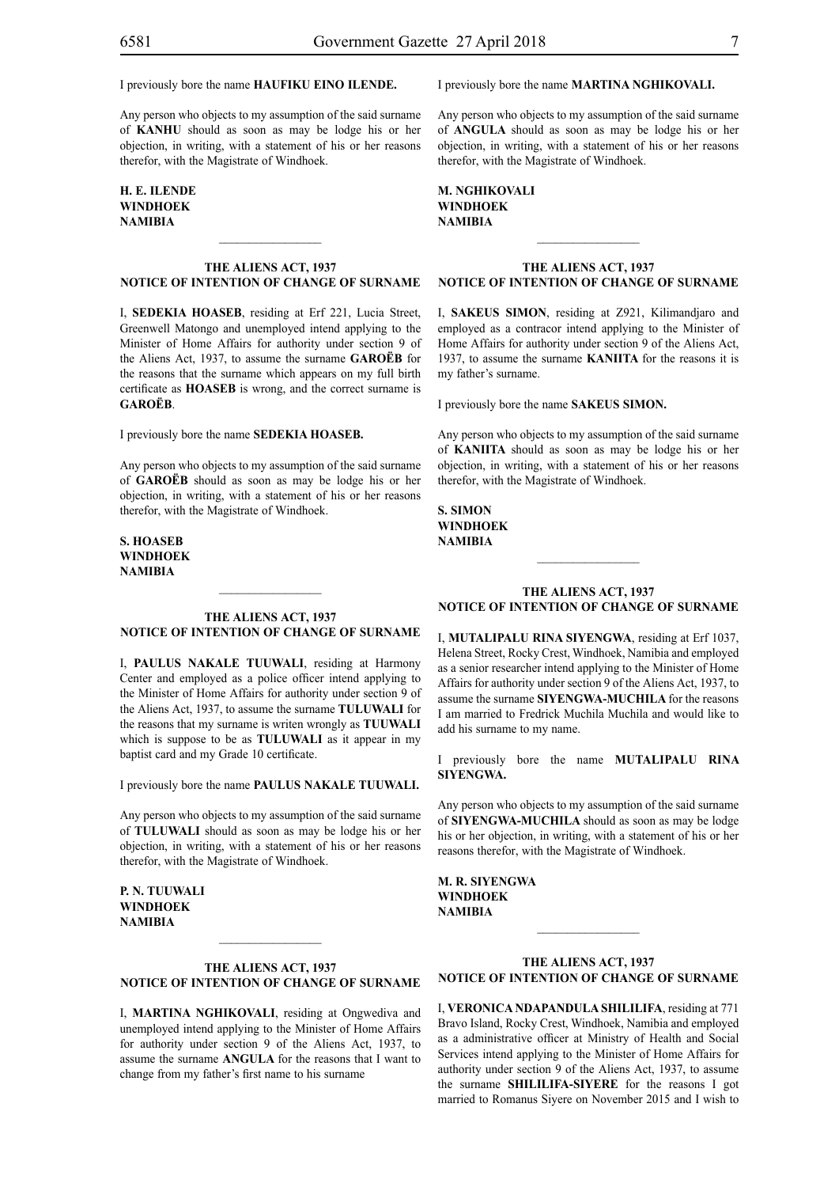# I previously bore the name **haufiku eino ilende.**

Any person who objects to my assumption of the said surname of **kanhu** should as soon as may be lodge his or her objection, in writing, with a statement of his or her reasons therefor, with the Magistrate of Windhoek.

# **h. e. ilende windhoek NAMIBIA**

# **THE ALIENS ACT, 1937 NOTICE OF INTENTION OF CHANGE OF SURNAME**

 $\frac{1}{2}$ 

I, **sedekia hoaseb**, residing at Erf 221, Lucia Street, Greenwell Matongo and unemployed intend applying to the Minister of Home Affairs for authority under section 9 of the Aliens Act, 1937, to assume the surname **GAROËB** for the reasons that the surname which appears on my full birth certificate as **HOASEB** is wrong, and the correct surname is **GAROËB**.

I previously bore the name **SEDEKIA HOASEB.** 

Any person who objects to my assumption of the said surname of **GAROËB** should as soon as may be lodge his or her objection, in writing, with a statement of his or her reasons therefor, with the Magistrate of Windhoek.

**s. hoaseb windhoek NAMIBIA**

#### **THE ALIENS ACT, 1937 NOTICE OF INTENTION OF CHANGE OF SURNAME**

 $\frac{1}{2}$ 

I, **paulus nakale tuuwali**, residing at Harmony Center and employed as a police officer intend applying to the Minister of Home Affairs for authority under section 9 of the Aliens Act, 1937, to assume the surname **TULUWALI** for the reasons that my surname is writen wrongly as **TUUWALI**  which is suppose to be as **TULUWALI** as it appear in my baptist card and my Grade 10 certificate.

I previously bore the name **paulus nakale tuuwali.**

Any person who objects to my assumption of the said surname of **TULUWALI** should as soon as may be lodge his or her objection, in writing, with a statement of his or her reasons therefor, with the Magistrate of Windhoek.

**p. n. tuuwali windhoek NAMIBIA**

# **THE ALIENS ACT, 1937 NOTICE OF INTENTION OF CHANGE OF SURNAME**

I, **martina nghikovali**, residing at Ongwediva and unemployed intend applying to the Minister of Home Affairs for authority under section 9 of the Aliens Act, 1937, to assume the surname **ANGULA** for the reasons that I want to change from my father's first name to his surname

# I previously bore the name **martina nghikovali.**

Any person who objects to my assumption of the said surname of **ANGULA** should as soon as may be lodge his or her objection, in writing, with a statement of his or her reasons therefor, with the Magistrate of Windhoek.

| M. NGHIKOVALI |  |
|---------------|--|
| WINDHOEK      |  |
| NAMIBIA       |  |

# **THE ALIENS ACT, 1937 NOTICE OF INTENTION OF CHANGE OF SURNAME**

 $\frac{1}{2}$ 

I, **sakeus simon**, residing at Z921, Kilimandjaro and employed as a contracor intend applying to the Minister of Home Affairs for authority under section 9 of the Aliens Act, 1937, to assume the surname **KANIITA** for the reasons it is my father's surname.

I previously bore the name **sakeus simon.**

Any person who objects to my assumption of the said surname of **KANIITA** should as soon as may be lodge his or her objection, in writing, with a statement of his or her reasons therefor, with the Magistrate of Windhoek.

**s. simon windhoek NAMIBIA**

### **THE ALIENS ACT, 1937 NOTICE OF INTENTION OF CHANGE OF SURNAME**

I, **MUTALIPALU RINA SIYENGWA**, residing at Erf 1037, Helena Street, Rocky Crest, Windhoek, Namibia and employed as a senior researcher intend applying to the Minister of Home Affairs for authority under section 9 of the Aliens Act, 1937, to assume the surname **SIYENGWA-MUCHILA** for the reasons I am married to Fredrick Muchila Muchila and would like to add his surname to my name.

I previously bore the name **MUTALIPALU RINA SIYENGWA.**

Any person who objects to my assumption of the said surname of **siyengwa-muchila** should as soon as may be lodge his or her objection, in writing, with a statement of his or her reasons therefor, with the Magistrate of Windhoek.

**M. R. SIYENGWA windhoek NAMIBIA**

# **THE ALIENS ACT, 1937 NOTICE OF INTENTION OF CHANGE OF SURNAME**

 $\frac{1}{2}$ 

I, **verOnica ndapandula shililifa**, residing at 771 Bravo Island, Rocky Crest, Windhoek, Namibia and employed as a administrative officer at Ministry of Health and Social Services intend applying to the Minister of Home Affairs for authority under section 9 of the Aliens Act, 1937, to assume the surname **SHILILIFA-SIYERE** for the reasons I got married to Romanus Siyere on November 2015 and I wish to